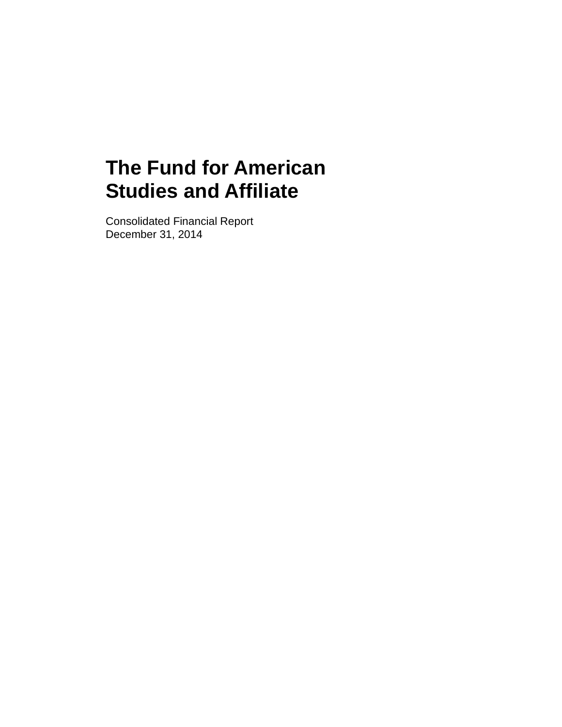Consolidated Financial Report December 31, 2014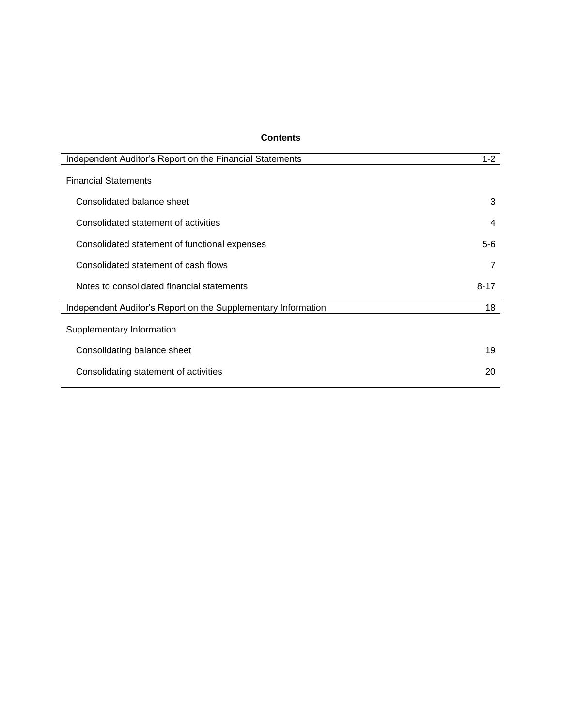## **Contents**

| $1 - 2$  |
|----------|
|          |
| 3        |
| 4        |
| $5-6$    |
| 7        |
| $8 - 17$ |
| 18       |
|          |
| 19       |
| 20       |
|          |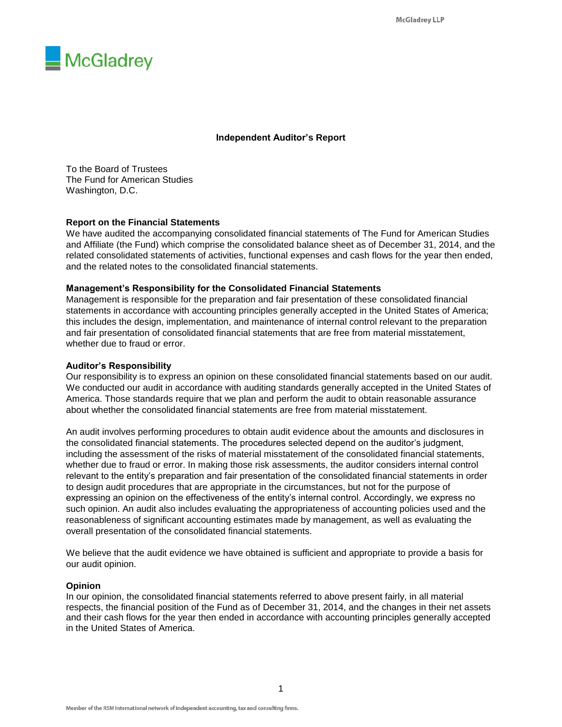

#### **Independent Auditor's Report**

To the Board of Trustees The Fund for American Studies Washington, D.C.

#### **Report on the Financial Statements**

We have audited the accompanying consolidated financial statements of The Fund for American Studies and Affiliate (the Fund) which comprise the consolidated balance sheet as of December 31, 2014, and the related consolidated statements of activities, functional expenses and cash flows for the year then ended, and the related notes to the consolidated financial statements.

#### **Management's Responsibility for the Consolidated Financial Statements**

Management is responsible for the preparation and fair presentation of these consolidated financial statements in accordance with accounting principles generally accepted in the United States of America; this includes the design, implementation, and maintenance of internal control relevant to the preparation and fair presentation of consolidated financial statements that are free from material misstatement, whether due to fraud or error.

#### **Auditor's Responsibility**

Our responsibility is to express an opinion on these consolidated financial statements based on our audit. We conducted our audit in accordance with auditing standards generally accepted in the United States of America. Those standards require that we plan and perform the audit to obtain reasonable assurance about whether the consolidated financial statements are free from material misstatement.

An audit involves performing procedures to obtain audit evidence about the amounts and disclosures in the consolidated financial statements. The procedures selected depend on the auditor's judgment, including the assessment of the risks of material misstatement of the consolidated financial statements, whether due to fraud or error. In making those risk assessments, the auditor considers internal control relevant to the entity's preparation and fair presentation of the consolidated financial statements in order to design audit procedures that are appropriate in the circumstances, but not for the purpose of expressing an opinion on the effectiveness of the entity's internal control. Accordingly, we express no such opinion. An audit also includes evaluating the appropriateness of accounting policies used and the reasonableness of significant accounting estimates made by management, as well as evaluating the overall presentation of the consolidated financial statements.

We believe that the audit evidence we have obtained is sufficient and appropriate to provide a basis for our audit opinion.

#### **Opinion**

In our opinion, the consolidated financial statements referred to above present fairly, in all material respects, the financial position of the Fund as of December 31, 2014, and the changes in their net assets and their cash flows for the year then ended in accordance with accounting principles generally accepted in the United States of America.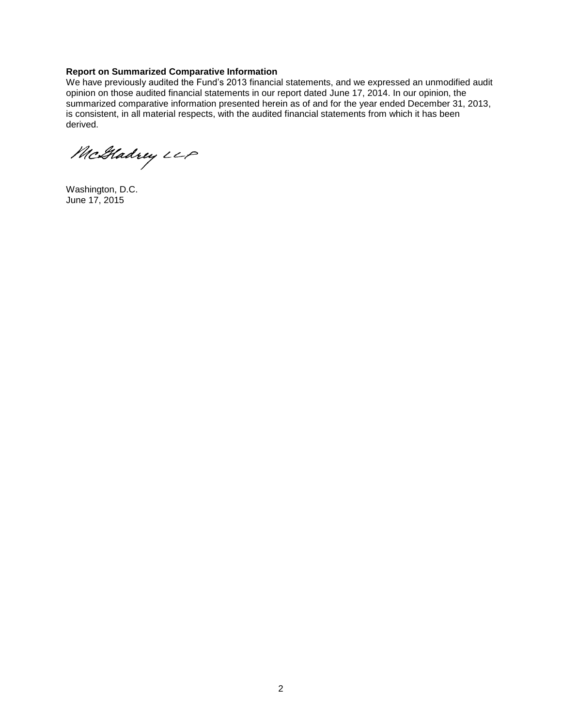#### **Report on Summarized Comparative Information**

We have previously audited the Fund's 2013 financial statements, and we expressed an unmodified audit opinion on those audited financial statements in our report dated June 17, 2014. In our opinion, the summarized comparative information presented herein as of and for the year ended December 31, 2013, is consistent, in all material respects, with the audited financial statements from which it has been derived.

McGladrey LLP

Washington, D.C. June 17, 2015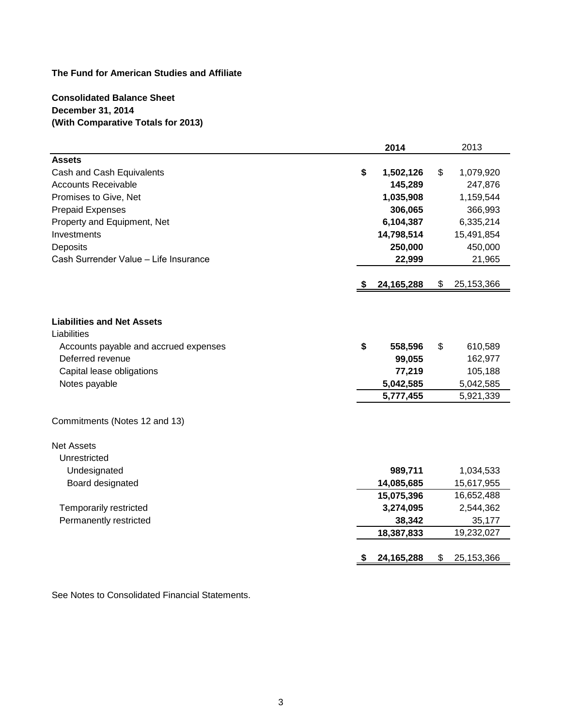**Consolidated Balance Sheet December 31, 2014 (With Comparative Totals for 2013)**

|                                       | 2014            | 2013               |
|---------------------------------------|-----------------|--------------------|
| <b>Assets</b>                         |                 |                    |
| Cash and Cash Equivalents             | \$<br>1,502,126 | \$<br>1,079,920    |
| <b>Accounts Receivable</b>            | 145,289         | 247,876            |
| Promises to Give, Net                 | 1,035,908       | 1,159,544          |
| <b>Prepaid Expenses</b>               | 306,065         | 366,993            |
| Property and Equipment, Net           | 6,104,387       | 6,335,214          |
| Investments                           | 14,798,514      | 15,491,854         |
| Deposits                              | 250,000         | 450,000            |
| Cash Surrender Value - Life Insurance | 22,999          | 21,965             |
|                                       | 24, 165, 288    | \$<br>25, 153, 366 |
| <b>Liabilities and Net Assets</b>     |                 |                    |
| Liabilities                           |                 |                    |
| Accounts payable and accrued expenses | \$<br>558,596   | \$<br>610,589      |
| Deferred revenue                      | 99,055          | 162,977            |
| Capital lease obligations             | 77,219          | 105,188            |
| Notes payable                         | 5,042,585       | 5,042,585          |
|                                       | 5,777,455       | 5,921,339          |
| Commitments (Notes 12 and 13)         |                 |                    |
| <b>Net Assets</b>                     |                 |                    |
| Unrestricted                          |                 |                    |
| Undesignated                          | 989,711         | 1,034,533          |
| Board designated                      | 14,085,685      | 15,617,955         |
|                                       | 15,075,396      | 16,652,488         |
| Temporarily restricted                | 3,274,095       | 2,544,362          |
| Permanently restricted                | 38,342          | 35,177             |
|                                       | 18,387,833      | 19,232,027         |
|                                       | 24, 165, 288    | \$<br>25, 153, 366 |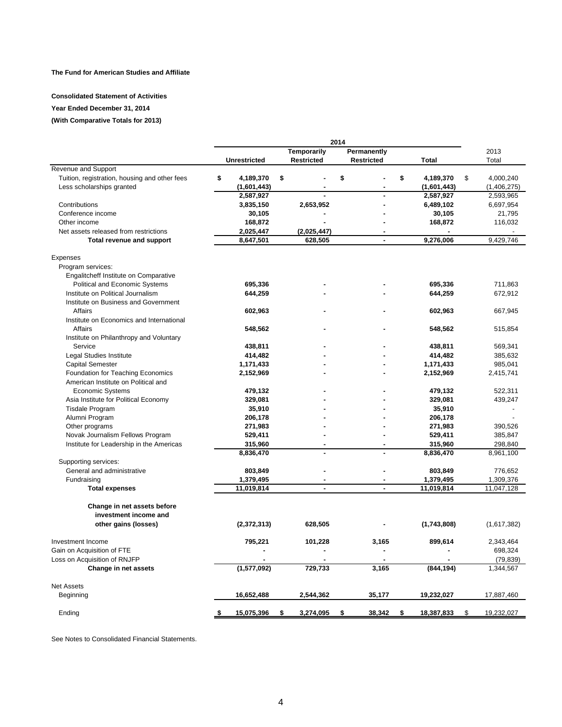#### **Consolidated Statement of Activities**

#### **Year Ended December 31, 2014**

#### **(With Comparative Totals for 2013)**

|                                               |                     |                   | 2014              |                  |                  |
|-----------------------------------------------|---------------------|-------------------|-------------------|------------------|------------------|
|                                               |                     | Temporarily       | Permanently       |                  | 2013             |
|                                               | <b>Unrestricted</b> | <b>Restricted</b> | <b>Restricted</b> | <b>Total</b>     | Total            |
| Revenue and Support                           |                     |                   |                   |                  |                  |
| Tuition, registration, housing and other fees | \$<br>4,189,370     | \$                | \$<br>÷,          | \$<br>4,189,370  | \$<br>4,000,240  |
| Less scholarships granted                     | (1,601,443)         |                   |                   | (1,601,443)      | (1,406,275)      |
|                                               | 2,587,927           |                   |                   | 2,587,927        | 2,593,965        |
| Contributions                                 | 3,835,150           | 2,653,952         | ä,                | 6,489,102        | 6,697,954        |
| Conference income                             | 30,105              |                   |                   | 30,105           | 21,795           |
| Other income                                  | 168,872             |                   |                   | 168,872          | 116,032          |
| Net assets released from restrictions         | 2,025,447           | (2,025,447)       |                   |                  |                  |
| Total revenue and support                     | 8,647,501           | 628,505           | $\blacksquare$    | 9.276.006        | 9,429,746        |
|                                               |                     |                   |                   |                  |                  |
| Expenses                                      |                     |                   |                   |                  |                  |
| Program services:                             |                     |                   |                   |                  |                  |
| Engalitcheff Institute on Comparative         |                     |                   |                   |                  |                  |
| Political and Economic Systems                | 695,336             |                   |                   | 695,336          | 711,863          |
| Institute on Political Journalism             | 644,259             |                   |                   | 644,259          | 672,912          |
| Institute on Business and Government          |                     |                   |                   |                  |                  |
| Affairs                                       | 602,963             |                   |                   | 602,963          | 667,945          |
| Institute on Economics and International      |                     |                   |                   |                  |                  |
| Affairs                                       | 548,562             |                   |                   | 548,562          | 515,854          |
| Institute on Philanthropy and Voluntary       |                     |                   |                   |                  |                  |
| Service                                       | 438,811             |                   |                   | 438,811          | 569,341          |
| Legal Studies Institute                       | 414,482             |                   |                   | 414,482          | 385,632          |
| <b>Capital Semester</b>                       | 1,171,433           |                   |                   | 1,171,433        | 985,041          |
| Foundation for Teaching Economics             | 2,152,969           |                   |                   | 2,152,969        | 2,415,741        |
| American Institute on Political and           |                     |                   |                   |                  |                  |
| <b>Economic Systems</b>                       | 479,132             |                   |                   | 479,132          | 522,311          |
| Asia Institute for Political Economy          | 329,081             |                   |                   | 329,081          | 439,247          |
| <b>Tisdale Program</b>                        | 35,910              |                   |                   | 35,910           | $\overline{a}$   |
| Alumni Program                                | 206,178             |                   |                   | 206,178          |                  |
| Other programs                                | 271,983             |                   |                   | 271,983          | 390,526          |
| Novak Journalism Fellows Program              | 529,411             |                   |                   | 529,411          | 385,847          |
| Institute for Leadership in the Americas      | 315,960             | $\sim$            | $\overline{a}$    | 315,960          | 298,840          |
|                                               | 8,836,470           |                   |                   | 8,836,470        | 8,961,100        |
| Supporting services:                          |                     |                   |                   |                  |                  |
| General and administrative                    | 803,849             |                   |                   | 803,849          | 776,652          |
| Fundraising                                   | 1,379,495           |                   |                   | 1,379,495        | 1,309,376        |
| <b>Total expenses</b>                         | 11,019,814          | ÷                 | $\overline{a}$    | 11,019,814       | 11,047,128       |
| Change in net assets before                   |                     |                   |                   |                  |                  |
| investment income and                         |                     |                   |                   |                  |                  |
| other gains (losses)                          | (2,372,313)         | 628,505           |                   | (1,743,808)      | (1,617,382)      |
|                                               |                     |                   |                   |                  |                  |
| Investment Income                             | 795,221             | 101,228           | 3.165             | 899,614          | 2,343,464        |
| Gain on Acquisition of FTE                    |                     |                   |                   |                  | 698,324          |
| Loss on Acquisition of RNJFP                  |                     |                   |                   |                  | (79, 839)        |
| Change in net assets                          | (1,577,092)         | 729,733           | 3,165             | (844, 194)       | 1,344,567        |
| <b>Net Assets</b>                             |                     |                   |                   |                  |                  |
| Beginning                                     | 16,652,488          | 2,544,362         | 35,177            | 19,232,027       | 17,887,460       |
|                                               |                     |                   |                   |                  |                  |
| Ending                                        | 15,075,396<br>\$    | 3,274,095<br>\$   | 38,342<br>\$      | 18,387,833<br>\$ | 19,232,027<br>\$ |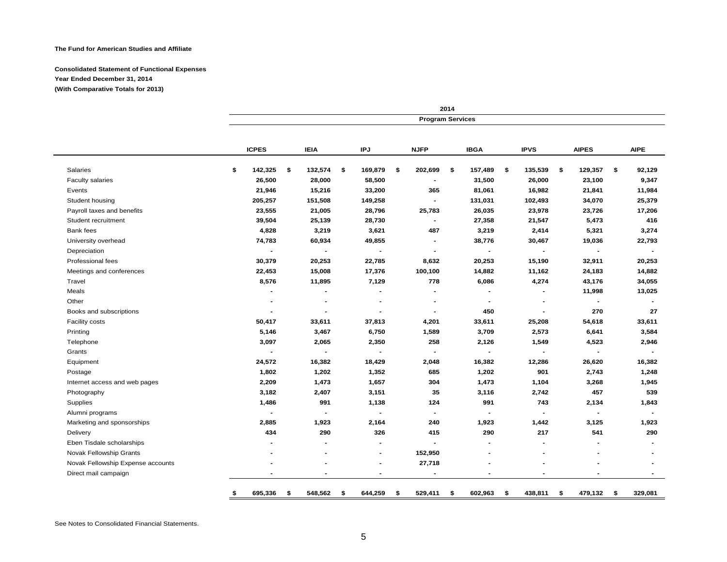#### **Consolidated Statement of Functional Expenses Year Ended December 31, 2014 (With Comparative Totals for 2013)**

| 2014<br><b>Program Services</b> |                |                |                |                |               |  |  |  |
|---------------------------------|----------------|----------------|----------------|----------------|---------------|--|--|--|
| <b>IPJ</b>                      | <b>NJFP</b>    | <b>IBGA</b>    | <b>IPVS</b>    | <b>AIPES</b>   | <b>AIPE</b>   |  |  |  |
| \$<br>169,879                   | \$<br>202,699  | \$<br>157,489  | \$<br>135,539  | \$<br>129,357  | \$<br>92,129  |  |  |  |
| 58,500                          | $\blacksquare$ | 31,500         | 26,000         | 23,100         | 9,347         |  |  |  |
| 33,200                          | 365            | 81,061         | 16,982         | 21,841         | 11,984        |  |  |  |
| 149,258                         | $\blacksquare$ | 131,031        | 102,493        | 34,070         | 25,379        |  |  |  |
| 28,796                          | 25,783         | 26,035         | 23,978         | 23,726         | 17,206        |  |  |  |
| 28,730                          | $\blacksquare$ | 27,358         | 21,547         | 5,473          | 416           |  |  |  |
| 3,621                           | 487            | 3,219          | 2,414          | 5,321          | 3,274         |  |  |  |
| 49,855                          | $\blacksquare$ | 38,776         | 30,467         | 19,036         | 22,793        |  |  |  |
| $\blacksquare$                  | $\blacksquare$ | $\blacksquare$ | $\blacksquare$ | $\blacksquare$ |               |  |  |  |
| 22,785                          | 8,632          | 20,253         | 15,190         | 32,911         | 20,253        |  |  |  |
| 17,376                          | 100,100        | 14,882         | 11,162         | 24,183         | 14,882        |  |  |  |
| 7,129                           | 778            | 6,086          | 4,274          | 43,176         | 34,055        |  |  |  |
|                                 |                | $\blacksquare$ |                | 11,998         | 13,025        |  |  |  |
| $\blacksquare$                  | $\sim$         | $\blacksquare$ |                | $\sim$         |               |  |  |  |
|                                 |                | 450            |                | 270            | 27            |  |  |  |
| 37,813                          | 4,201          | 33,611         | 25,208         | 54,618         | 33,611        |  |  |  |
| 6,750                           | 1,589          | 3,709          | 2,573          | 6,641          | 3,584         |  |  |  |
| 2,350                           | 258            | 2,126          | 1,549          | 4,523          | 2,946         |  |  |  |
|                                 |                | $\sim$         |                | $\blacksquare$ |               |  |  |  |
| 18,429                          | 2,048          | 16,382         | 12,286         | 26,620         | 16,382        |  |  |  |
| 1,352                           | 685            | 1,202          | 901            | 2,743          | 1,248         |  |  |  |
| 1,657                           | 304            | 1,473          | 1,104          | 3,268          | 1,945         |  |  |  |
| 3,151                           | 35             | 3,116          | 2,742          | 457            | 539           |  |  |  |
| 1,138                           | 124            | 991            | 743            | 2,134          | 1,843         |  |  |  |
| $\blacksquare$                  | $\blacksquare$ | $\blacksquare$ |                | $\blacksquare$ | $\sim$        |  |  |  |
| 2,164                           | 240            | 1,923          | 1,442          | 3,125          | 1,923         |  |  |  |
| 326                             | 415            | 290            | 217            | 541            | 290           |  |  |  |
| $\blacksquare$                  | $\blacksquare$ | $\blacksquare$ |                |                |               |  |  |  |
| $\blacksquare$                  | 152,950        |                |                |                |               |  |  |  |
|                                 | 27,718         |                |                |                |               |  |  |  |
|                                 |                |                |                |                |               |  |  |  |
|                                 | 644,259<br>\$  | 529,411<br>\$  | 602,963<br>\$  | \$<br>438,811  | \$<br>479,132 |  |  |  |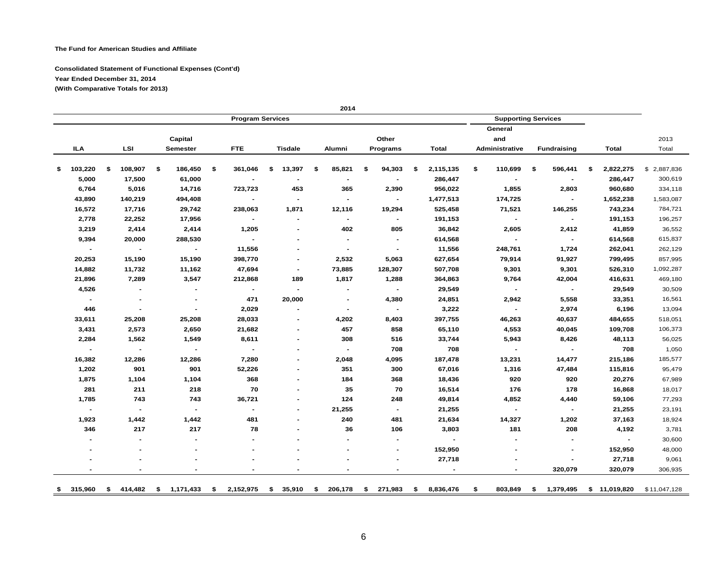#### **Consolidated Statement of Functional Expenses (Cont'd) Year Ended December 31, 2014 (With Comparative Totals for 2013)**

| 2013<br>Total<br>\$2,887,836<br>300,619<br>334,118<br>1,583,087 | Total<br>2,822,275 | <b>Fundraising</b> | General<br>and |                 |                          |                |                |                          |                |                |     |                |
|-----------------------------------------------------------------|--------------------|--------------------|----------------|-----------------|--------------------------|----------------|----------------|--------------------------|----------------|----------------|-----|----------------|
|                                                                 |                    |                    |                |                 |                          |                |                |                          |                |                |     |                |
|                                                                 |                    |                    |                |                 | Other                    |                |                |                          | Capital        |                |     |                |
|                                                                 |                    |                    | Administrative | Total           | Programs                 | Alumni         | <b>Tisdale</b> | <b>FTE</b>               | Semester       | LSI            |     | ILA            |
|                                                                 |                    |                    |                |                 |                          |                |                |                          |                |                |     |                |
|                                                                 |                    | 596,441<br>\$      | 110,699<br>\$  | \$<br>2,115,135 | \$<br>94,303             | \$<br>85,821   | \$<br>13,397   | \$<br>361,046            | \$<br>186,450  | \$<br>108,907  | -\$ | 103,220        |
|                                                                 | 286,447            | $\blacksquare$     | $\blacksquare$ | 286,447         |                          |                | $\blacksquare$ |                          | 61,000         | 17,500         |     | 5,000          |
|                                                                 | 960,680            | 2,803              | 1,855          | 956,022         | 2,390                    | 365            | 453            | 723,723                  | 14,716         | 5,016          |     | 6,764          |
|                                                                 | 1,652,238          | $\sim$             | 174,725        | 1,477,513       |                          |                | $\blacksquare$ |                          | 494,408        | 140,219        |     | 43,890         |
| 784,721                                                         | 743,234            | 146,255            | 71,521         | 525,458         | 19,294                   | 12,116         | 1,871          | 238,063                  | 29,742         | 17,716         |     | 16,572         |
| 196,257                                                         | 191,153            |                    | $\blacksquare$ | 191,153         | $\blacksquare$           |                |                | $\overline{\phantom{a}}$ | 17,956         | 22,252         |     | 2,778          |
| 36,552                                                          | 41,859             | 2,412              | 2,605          | 36,842          | 805                      | 402            | $\blacksquare$ | 1,205                    | 2,414          | 2,414          |     | 3,219          |
| 615,837                                                         | 614,568            | $\blacksquare$     | $\blacksquare$ | 614,568         |                          |                | $\blacksquare$ |                          | 288,530        | 20,000         |     | 9,394          |
| 262,129                                                         | 262,041            | 1,724              | 248,761        | 11,556          |                          |                |                | 11,556                   |                |                |     |                |
| 857,995                                                         | 799,495            | 91,927             | 79,914         | 627,654         | 5,063                    | 2,532          | $\blacksquare$ | 398,770                  | 15,190         | 15,190         |     | 20,253         |
| 1,092,287                                                       | 526,310            | 9,301              | 9,301          | 507,708         | 128,307                  | 73,885         | $\blacksquare$ | 47,694                   | 11,162         | 11,732         |     | 14,882         |
| 469,180                                                         | 416,631            | 42,004             | 9,764          | 364,863         | 1,288                    | 1,817          | 189            | 212,868                  | 3,547          | 7,289          |     | 21,896         |
| 30,509                                                          | 29,549             | $\sim$             | $\sim$         | 29,549          | $\blacksquare$           |                | $\blacksquare$ | $\sim$                   |                |                |     | 4,526          |
| 16,561                                                          | 33,351             | 5,558              | 2,942          | 24,851          | 4,380                    | $\blacksquare$ | 20,000         | 471                      | $\blacksquare$ |                |     | $\sim$         |
| 13,094                                                          | 6,196              | 2,974              | $\sim$         | 3,222           | $\blacksquare$           | $\blacksquare$ |                | 2,029                    | $\blacksquare$ |                |     | 446            |
| 518,051                                                         | 484,655            | 40,637             | 46,263         | 397,755         | 8,403                    | 4,202          |                | 28,033                   | 25,208         | 25,208         |     | 33,611         |
| 106,373                                                         | 109,708            | 40,045             | 4,553          | 65,110          | 858                      | 457            | $\blacksquare$ | 21,682                   | 2,650          | 2,573          |     | 3,431          |
| 56,025                                                          | 48,113             | 8,426              | 5,943          | 33,744          | 516                      | 308            |                | 8,611                    | 1,549          | 1,562          |     | 2,284          |
| 1,050                                                           | 708                | $\sim$             | $\sim$         | 708             | 708                      | $\sim$         |                | $\sim$                   | $\blacksquare$ | $\sim$         |     | $\blacksquare$ |
| 185,577                                                         | 215,186            | 14,477             | 13,231         | 187,478         | 4,095                    | 2,048          |                | 7,280                    | 12,286         | 12,286         |     | 16,382         |
| 95,479                                                          | 115,816            | 47,484             | 1,316          | 67,016          | 300                      | 351            | $\blacksquare$ | 52,226                   | 901            | 901            |     | 1,202          |
| 67,989                                                          | 20,276             | 920                | 920            | 18,436          | 368                      | 184            | $\blacksquare$ | 368                      | 1,104          | 1,104          |     | 1,875          |
| 18,017                                                          | 16,868             | 178                | 176            | 16,514          | 70                       | 35             |                | 70                       | 218            | 211            |     | 281            |
| 77,293                                                          | 59,106             | 4,440              | 4,852          | 49,814          | 248                      | 124            |                | 36,721                   | 743            | 743            |     | 1,785          |
| 23,191                                                          | 21,255             | $\blacksquare$     | $\blacksquare$ | 21,255          | $\blacksquare$           | 21,255         | $\blacksquare$ | $\blacksquare$           | $\blacksquare$ | $\blacksquare$ |     | $\blacksquare$ |
| 18,924                                                          | 37,163             | 1,202              | 14,327         | 21,634          | 481                      | 240            |                | 481                      | 1,442          | 1,442          |     | 1,923          |
| 3,781                                                           | 4,192              | 208                | 181            | 3,803           | 106                      | 36             |                | 78                       | 217            | 217            |     | 346            |
| $\blacksquare$<br>30,600                                        |                    | $\blacksquare$     |                | $\sim$          | $\overline{\phantom{a}}$ |                |                |                          |                |                |     |                |
| 48,000                                                          | 152,950            |                    |                | 152,950         | $\overline{\phantom{a}}$ |                |                |                          |                |                |     |                |
| 9,061                                                           | 27,718             |                    |                | 27,718          |                          |                |                |                          |                |                |     |                |
| 306,935                                                         | 320,079            | 320,079            |                |                 |                          |                |                |                          |                |                |     |                |

**2014**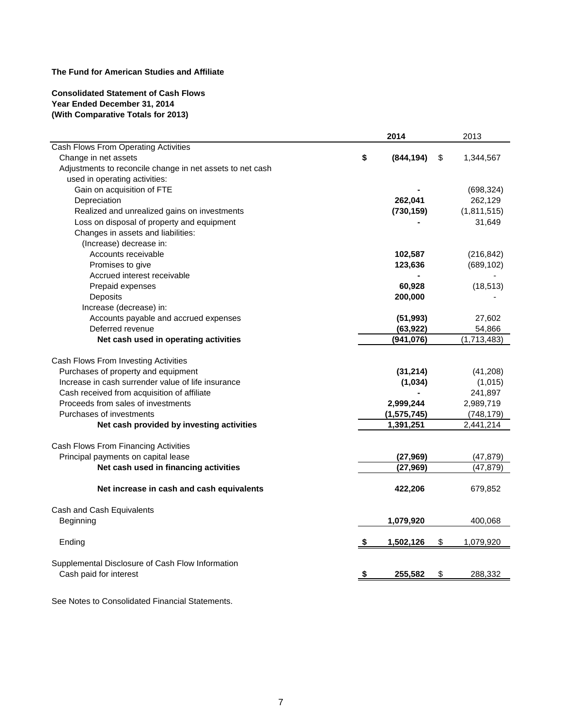#### **Consolidated Statement of Cash Flows Year Ended December 31, 2014 (With Comparative Totals for 2013)**

|                                                                                                                                                                                                                                                                                                                                         | 2014                                                            |    | 2013                                                                   |
|-----------------------------------------------------------------------------------------------------------------------------------------------------------------------------------------------------------------------------------------------------------------------------------------------------------------------------------------|-----------------------------------------------------------------|----|------------------------------------------------------------------------|
| Cash Flows From Operating Activities                                                                                                                                                                                                                                                                                                    |                                                                 |    |                                                                        |
| Change in net assets                                                                                                                                                                                                                                                                                                                    | \$<br>(844, 194)                                                | \$ | 1,344,567                                                              |
| Adjustments to reconcile change in net assets to net cash                                                                                                                                                                                                                                                                               |                                                                 |    |                                                                        |
| used in operating activities:                                                                                                                                                                                                                                                                                                           |                                                                 |    |                                                                        |
| Gain on acquisition of FTE                                                                                                                                                                                                                                                                                                              |                                                                 |    | (698, 324)                                                             |
| Depreciation                                                                                                                                                                                                                                                                                                                            | 262,041                                                         |    | 262,129                                                                |
| Realized and unrealized gains on investments                                                                                                                                                                                                                                                                                            | (730, 159)                                                      |    | (1,811,515)                                                            |
| Loss on disposal of property and equipment                                                                                                                                                                                                                                                                                              |                                                                 |    | 31,649                                                                 |
| Changes in assets and liabilities:                                                                                                                                                                                                                                                                                                      |                                                                 |    |                                                                        |
| (Increase) decrease in:                                                                                                                                                                                                                                                                                                                 |                                                                 |    |                                                                        |
| Accounts receivable                                                                                                                                                                                                                                                                                                                     | 102,587                                                         |    | (216, 842)                                                             |
| Promises to give                                                                                                                                                                                                                                                                                                                        | 123,636                                                         |    | (689, 102)                                                             |
| Accrued interest receivable                                                                                                                                                                                                                                                                                                             |                                                                 |    |                                                                        |
| Prepaid expenses                                                                                                                                                                                                                                                                                                                        | 60,928                                                          |    | (18, 513)                                                              |
| Deposits                                                                                                                                                                                                                                                                                                                                | 200,000                                                         |    |                                                                        |
| Increase (decrease) in:                                                                                                                                                                                                                                                                                                                 |                                                                 |    |                                                                        |
| Accounts payable and accrued expenses                                                                                                                                                                                                                                                                                                   | (51, 993)                                                       |    | 27,602                                                                 |
| Deferred revenue                                                                                                                                                                                                                                                                                                                        | (63, 922)                                                       |    | 54,866                                                                 |
| Net cash used in operating activities                                                                                                                                                                                                                                                                                                   | (941, 076)                                                      |    | (1,713,483)                                                            |
| Cash Flows From Investing Activities<br>Purchases of property and equipment<br>Increase in cash surrender value of life insurance<br>Cash received from acquisition of affiliate<br>Proceeds from sales of investments<br>Purchases of investments<br>Net cash provided by investing activities<br>Cash Flows From Financing Activities | (31, 214)<br>(1,034)<br>2,999,244<br>(1, 575, 745)<br>1,391,251 |    | (41,208)<br>(1,015)<br>241,897<br>2,989,719<br>(748, 179)<br>2,441,214 |
| Principal payments on capital lease                                                                                                                                                                                                                                                                                                     | (27, 969)                                                       |    | (47, 879)                                                              |
| Net cash used in financing activities                                                                                                                                                                                                                                                                                                   | (27, 969)                                                       |    | (47, 879)                                                              |
|                                                                                                                                                                                                                                                                                                                                         |                                                                 |    |                                                                        |
| Net increase in cash and cash equivalents                                                                                                                                                                                                                                                                                               | 422,206                                                         |    | 679,852                                                                |
| Cash and Cash Equivalents                                                                                                                                                                                                                                                                                                               |                                                                 |    |                                                                        |
| Beginning                                                                                                                                                                                                                                                                                                                               | 1,079,920                                                       |    | 400,068                                                                |
| Ending                                                                                                                                                                                                                                                                                                                                  | 1,502,126                                                       | S  | 1,079,920                                                              |
|                                                                                                                                                                                                                                                                                                                                         |                                                                 |    |                                                                        |
| Supplemental Disclosure of Cash Flow Information                                                                                                                                                                                                                                                                                        |                                                                 |    |                                                                        |
| Cash paid for interest                                                                                                                                                                                                                                                                                                                  | \$<br>255,582                                                   | \$ | 288,332                                                                |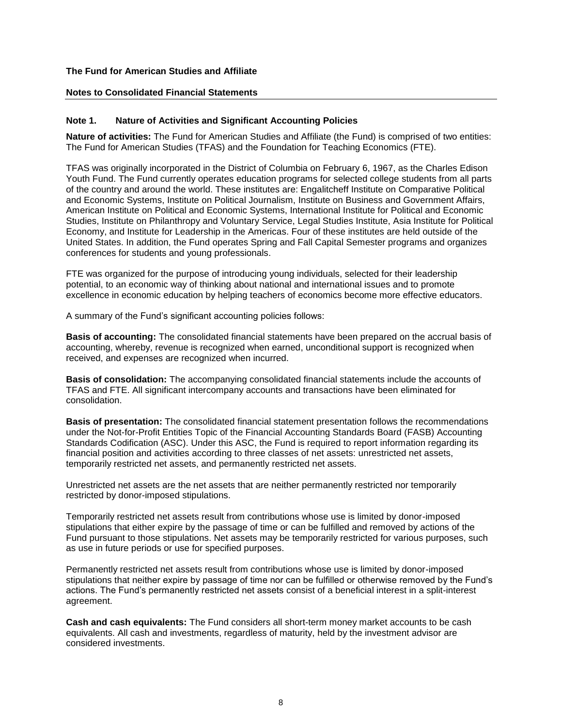#### **Notes to Consolidated Financial Statements**

#### **Note 1. Nature of Activities and Significant Accounting Policies**

**Nature of activities:** The Fund for American Studies and Affiliate (the Fund) is comprised of two entities: The Fund for American Studies (TFAS) and the Foundation for Teaching Economics (FTE).

TFAS was originally incorporated in the District of Columbia on February 6, 1967, as the Charles Edison Youth Fund. The Fund currently operates education programs for selected college students from all parts of the country and around the world. These institutes are: Engalitcheff Institute on Comparative Political and Economic Systems, Institute on Political Journalism, Institute on Business and Government Affairs, American Institute on Political and Economic Systems, International Institute for Political and Economic Studies, Institute on Philanthropy and Voluntary Service, Legal Studies Institute, Asia Institute for Political Economy, and Institute for Leadership in the Americas. Four of these institutes are held outside of the United States. In addition, the Fund operates Spring and Fall Capital Semester programs and organizes conferences for students and young professionals.

FTE was organized for the purpose of introducing young individuals, selected for their leadership potential, to an economic way of thinking about national and international issues and to promote excellence in economic education by helping teachers of economics become more effective educators.

A summary of the Fund's significant accounting policies follows:

**Basis of accounting:** The consolidated financial statements have been prepared on the accrual basis of accounting, whereby, revenue is recognized when earned, unconditional support is recognized when received, and expenses are recognized when incurred.

**Basis of consolidation:** The accompanying consolidated financial statements include the accounts of TFAS and FTE. All significant intercompany accounts and transactions have been eliminated for consolidation.

**Basis of presentation:** The consolidated financial statement presentation follows the recommendations under the Not-for-Profit Entities Topic of the Financial Accounting Standards Board (FASB) Accounting Standards Codification (ASC). Under this ASC, the Fund is required to report information regarding its financial position and activities according to three classes of net assets: unrestricted net assets, temporarily restricted net assets, and permanently restricted net assets.

Unrestricted net assets are the net assets that are neither permanently restricted nor temporarily restricted by donor-imposed stipulations.

Temporarily restricted net assets result from contributions whose use is limited by donor-imposed stipulations that either expire by the passage of time or can be fulfilled and removed by actions of the Fund pursuant to those stipulations. Net assets may be temporarily restricted for various purposes, such as use in future periods or use for specified purposes.

Permanently restricted net assets result from contributions whose use is limited by donor-imposed stipulations that neither expire by passage of time nor can be fulfilled or otherwise removed by the Fund's actions. The Fund's permanently restricted net assets consist of a beneficial interest in a split-interest agreement.

**Cash and cash equivalents:** The Fund considers all short-term money market accounts to be cash equivalents. All cash and investments, regardless of maturity, held by the investment advisor are considered investments.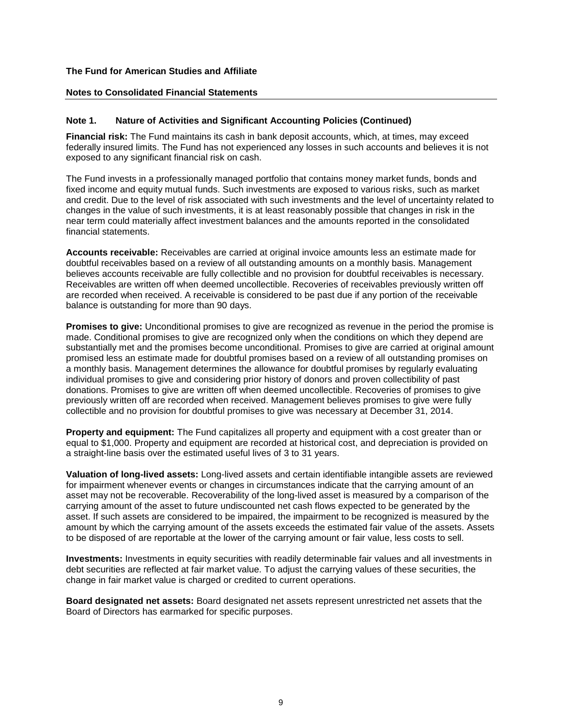#### **Notes to Consolidated Financial Statements**

#### **Note 1. Nature of Activities and Significant Accounting Policies (Continued)**

**Financial risk:** The Fund maintains its cash in bank deposit accounts, which, at times, may exceed federally insured limits. The Fund has not experienced any losses in such accounts and believes it is not exposed to any significant financial risk on cash.

The Fund invests in a professionally managed portfolio that contains money market funds, bonds and fixed income and equity mutual funds. Such investments are exposed to various risks, such as market and credit. Due to the level of risk associated with such investments and the level of uncertainty related to changes in the value of such investments, it is at least reasonably possible that changes in risk in the near term could materially affect investment balances and the amounts reported in the consolidated financial statements.

**Accounts receivable:** Receivables are carried at original invoice amounts less an estimate made for doubtful receivables based on a review of all outstanding amounts on a monthly basis. Management believes accounts receivable are fully collectible and no provision for doubtful receivables is necessary. Receivables are written off when deemed uncollectible. Recoveries of receivables previously written off are recorded when received. A receivable is considered to be past due if any portion of the receivable balance is outstanding for more than 90 days.

**Promises to give:** Unconditional promises to give are recognized as revenue in the period the promise is made. Conditional promises to give are recognized only when the conditions on which they depend are substantially met and the promises become unconditional. Promises to give are carried at original amount promised less an estimate made for doubtful promises based on a review of all outstanding promises on a monthly basis. Management determines the allowance for doubtful promises by regularly evaluating individual promises to give and considering prior history of donors and proven collectibility of past donations. Promises to give are written off when deemed uncollectible. Recoveries of promises to give previously written off are recorded when received. Management believes promises to give were fully collectible and no provision for doubtful promises to give was necessary at December 31, 2014.

**Property and equipment:** The Fund capitalizes all property and equipment with a cost greater than or equal to \$1,000. Property and equipment are recorded at historical cost, and depreciation is provided on a straight-line basis over the estimated useful lives of 3 to 31 years.

**Valuation of long-lived assets:** Long-lived assets and certain identifiable intangible assets are reviewed for impairment whenever events or changes in circumstances indicate that the carrying amount of an asset may not be recoverable. Recoverability of the long-lived asset is measured by a comparison of the carrying amount of the asset to future undiscounted net cash flows expected to be generated by the asset. If such assets are considered to be impaired, the impairment to be recognized is measured by the amount by which the carrying amount of the assets exceeds the estimated fair value of the assets. Assets to be disposed of are reportable at the lower of the carrying amount or fair value, less costs to sell.

**Investments:** Investments in equity securities with readily determinable fair values and all investments in debt securities are reflected at fair market value. To adjust the carrying values of these securities, the change in fair market value is charged or credited to current operations.

**Board designated net assets:** Board designated net assets represent unrestricted net assets that the Board of Directors has earmarked for specific purposes.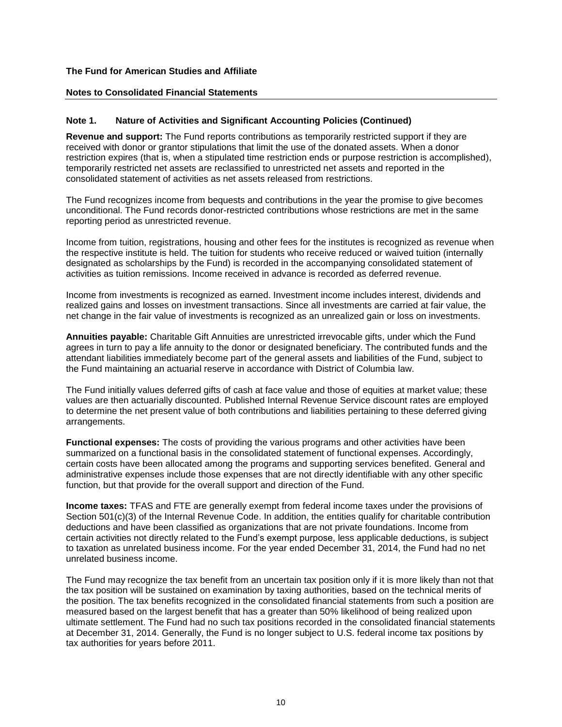#### **Notes to Consolidated Financial Statements**

#### **Note 1. Nature of Activities and Significant Accounting Policies (Continued)**

**Revenue and support:** The Fund reports contributions as temporarily restricted support if they are received with donor or grantor stipulations that limit the use of the donated assets. When a donor restriction expires (that is, when a stipulated time restriction ends or purpose restriction is accomplished), temporarily restricted net assets are reclassified to unrestricted net assets and reported in the consolidated statement of activities as net assets released from restrictions.

The Fund recognizes income from bequests and contributions in the year the promise to give becomes unconditional. The Fund records donor-restricted contributions whose restrictions are met in the same reporting period as unrestricted revenue.

Income from tuition, registrations, housing and other fees for the institutes is recognized as revenue when the respective institute is held. The tuition for students who receive reduced or waived tuition (internally designated as scholarships by the Fund) is recorded in the accompanying consolidated statement of activities as tuition remissions. Income received in advance is recorded as deferred revenue.

Income from investments is recognized as earned. Investment income includes interest, dividends and realized gains and losses on investment transactions. Since all investments are carried at fair value, the net change in the fair value of investments is recognized as an unrealized gain or loss on investments.

**Annuities payable:** Charitable Gift Annuities are unrestricted irrevocable gifts, under which the Fund agrees in turn to pay a life annuity to the donor or designated beneficiary. The contributed funds and the attendant liabilities immediately become part of the general assets and liabilities of the Fund, subject to the Fund maintaining an actuarial reserve in accordance with District of Columbia law.

The Fund initially values deferred gifts of cash at face value and those of equities at market value; these values are then actuarially discounted. Published Internal Revenue Service discount rates are employed to determine the net present value of both contributions and liabilities pertaining to these deferred giving arrangements.

**Functional expenses:** The costs of providing the various programs and other activities have been summarized on a functional basis in the consolidated statement of functional expenses. Accordingly, certain costs have been allocated among the programs and supporting services benefited. General and administrative expenses include those expenses that are not directly identifiable with any other specific function, but that provide for the overall support and direction of the Fund.

**Income taxes:** TFAS and FTE are generally exempt from federal income taxes under the provisions of Section 501(c)(3) of the Internal Revenue Code. In addition, the entities qualify for charitable contribution deductions and have been classified as organizations that are not private foundations. Income from certain activities not directly related to the Fund's exempt purpose, less applicable deductions, is subject to taxation as unrelated business income. For the year ended December 31, 2014, the Fund had no net unrelated business income.

The Fund may recognize the tax benefit from an uncertain tax position only if it is more likely than not that the tax position will be sustained on examination by taxing authorities, based on the technical merits of the position. The tax benefits recognized in the consolidated financial statements from such a position are measured based on the largest benefit that has a greater than 50% likelihood of being realized upon ultimate settlement. The Fund had no such tax positions recorded in the consolidated financial statements at December 31, 2014. Generally, the Fund is no longer subject to U.S. federal income tax positions by tax authorities for years before 2011.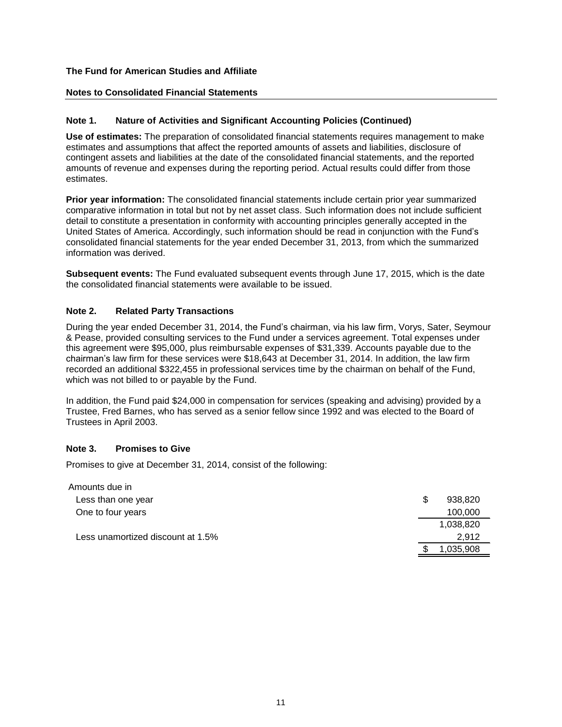#### **Notes to Consolidated Financial Statements**

#### **Note 1. Nature of Activities and Significant Accounting Policies (Continued)**

**Use of estimates:** The preparation of consolidated financial statements requires management to make estimates and assumptions that affect the reported amounts of assets and liabilities, disclosure of contingent assets and liabilities at the date of the consolidated financial statements, and the reported amounts of revenue and expenses during the reporting period. Actual results could differ from those estimates.

**Prior year information:** The consolidated financial statements include certain prior year summarized comparative information in total but not by net asset class. Such information does not include sufficient detail to constitute a presentation in conformity with accounting principles generally accepted in the United States of America. Accordingly, such information should be read in conjunction with the Fund's consolidated financial statements for the year ended December 31, 2013, from which the summarized information was derived.

**Subsequent events:** The Fund evaluated subsequent events through June 17, 2015, which is the date the consolidated financial statements were available to be issued.

#### **Note 2. Related Party Transactions**

During the year ended December 31, 2014, the Fund's chairman, via his law firm, Vorys, Sater, Seymour & Pease, provided consulting services to the Fund under a services agreement. Total expenses under this agreement were \$95,000, plus reimbursable expenses of \$31,339. Accounts payable due to the chairman's law firm for these services were \$18,643 at December 31, 2014. In addition, the law firm recorded an additional \$322,455 in professional services time by the chairman on behalf of the Fund, which was not billed to or payable by the Fund.

In addition, the Fund paid \$24,000 in compensation for services (speaking and advising) provided by a Trustee, Fred Barnes, who has served as a senior fellow since 1992 and was elected to the Board of Trustees in April 2003.

#### **Note 3. Promises to Give**

Promises to give at December 31, 2014, consist of the following:

| Amounts due in                    |   |           |
|-----------------------------------|---|-----------|
| Less than one year                | S | 938,820   |
| One to four years                 |   | 100,000   |
|                                   |   | 1,038,820 |
| Less unamortized discount at 1.5% |   | 2.912     |
|                                   |   | 1,035,908 |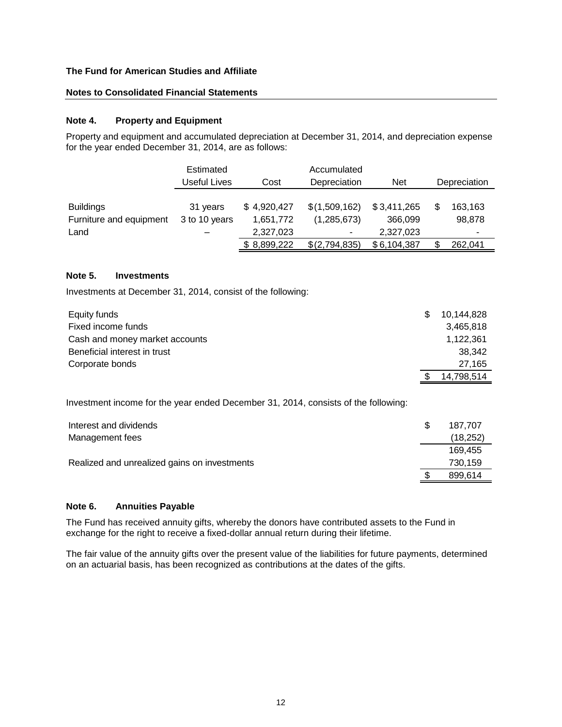#### **Notes to Consolidated Financial Statements**

#### **Note 4. Property and Equipment**

Property and equipment and accumulated depreciation at December 31, 2014, and depreciation expense for the year ended December 31, 2014, are as follows:

|                                                     | Estimated<br>Useful Lives      | Cost                                  | Accumulated<br>Depreciation       | <b>Net</b>                          | Depreciation      |
|-----------------------------------------------------|--------------------------------|---------------------------------------|-----------------------------------|-------------------------------------|-------------------|
| <b>Buildings</b><br>Furniture and equipment<br>Land | 31 years<br>3 to 10 years<br>- | \$4,920,427<br>1,651,772<br>2,327,023 | \$(1,509,162)<br>(1,285,673)<br>۰ | \$3,411,265<br>366,099<br>2,327,023 | 163,163<br>98,878 |
|                                                     |                                | \$8,899,222                           | \$(2,794,835)                     | \$6,104,387                         | 262,041           |

#### **Note 5. Investments**

Investments at December 31, 2014, consist of the following:

| Equity funds                   | \$. | 10.144.828 |
|--------------------------------|-----|------------|
| Fixed income funds             |     | 3,465,818  |
| Cash and money market accounts |     | 1,122,361  |
| Beneficial interest in trust   |     | 38.342     |
| Corporate bonds                |     | 27.165     |
|                                |     | 14,798,514 |

Investment income for the year ended December 31, 2014, consists of the following:

| Interest and dividends                       | S | 187.707  |
|----------------------------------------------|---|----------|
| Management fees                              |   | (18,252) |
|                                              |   | 169.455  |
| Realized and unrealized gains on investments |   | 730,159  |
|                                              |   | 899,614  |

#### **Note 6. Annuities Payable**

The Fund has received annuity gifts, whereby the donors have contributed assets to the Fund in exchange for the right to receive a fixed-dollar annual return during their lifetime.

The fair value of the annuity gifts over the present value of the liabilities for future payments, determined on an actuarial basis, has been recognized as contributions at the dates of the gifts.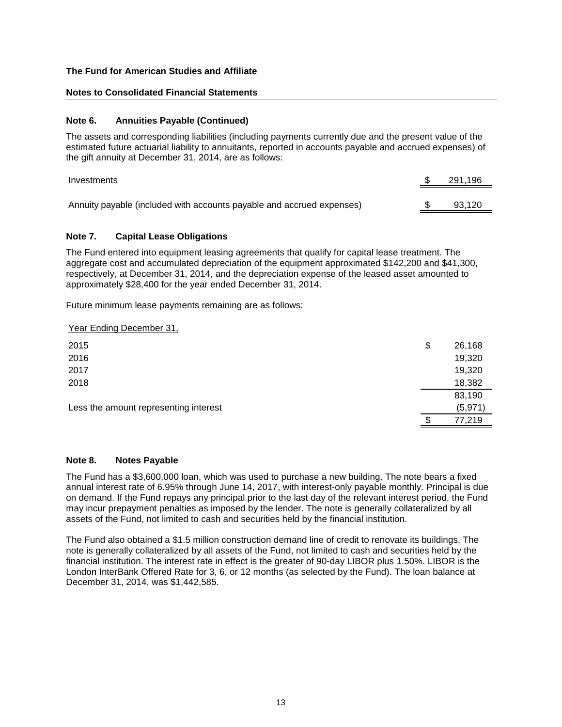#### **Notes to Consolidated Financial Statements**

#### **Note 6. Annuities Payable (Continued)**

The assets and corresponding liabilities (including payments currently due and the present value of the estimated future actuarial liability to annuitants, reported in accounts payable and accrued expenses) of the gift annuity at December 31, 2014, are as follows:

| Investments                                                           | 291.196 |
|-----------------------------------------------------------------------|---------|
| Annuity payable (included with accounts payable and accrued expenses) | 93.120  |

#### **Note 7. Capital Lease Obligations**

The Fund entered into equipment leasing agreements that qualify for capital lease treatment. The aggregate cost and accumulated depreciation of the equipment approximated \$142,200 and \$41,300, respectively, at December 31, 2014, and the depreciation expense of the leased asset amounted to approximately \$28,400 for the year ended December 31, 2014.

Future minimum lease payments remaining are as follows:

Year Ending December 31,

| 2015                                  | \$<br>26,168 |
|---------------------------------------|--------------|
| 2016                                  | 19,320       |
| 2017                                  | 19,320       |
| 2018                                  | 18,382       |
|                                       | 83,190       |
| Less the amount representing interest | (5, 971)     |
|                                       | 77,219       |
|                                       |              |

#### **Note 8. Notes Payable**

The Fund has a \$3,600,000 loan, which was used to purchase a new building. The note bears a fixed annual interest rate of 6.95% through June 14, 2017, with interest-only payable monthly. Principal is due on demand. If the Fund repays any principal prior to the last day of the relevant interest period, the Fund may incur prepayment penalties as imposed by the lender. The note is generally collateralized by all assets of the Fund, not limited to cash and securities held by the financial institution.

The Fund also obtained a \$1.5 million construction demand line of credit to renovate its buildings. The note is generally collateralized by all assets of the Fund, not limited to cash and securities held by the financial institution. The interest rate in effect is the greater of 90-day LIBOR plus 1.50%. LIBOR is the London InterBank Offered Rate for 3, 6, or 12 months (as selected by the Fund). The loan balance at December 31, 2014, was \$1,442,585.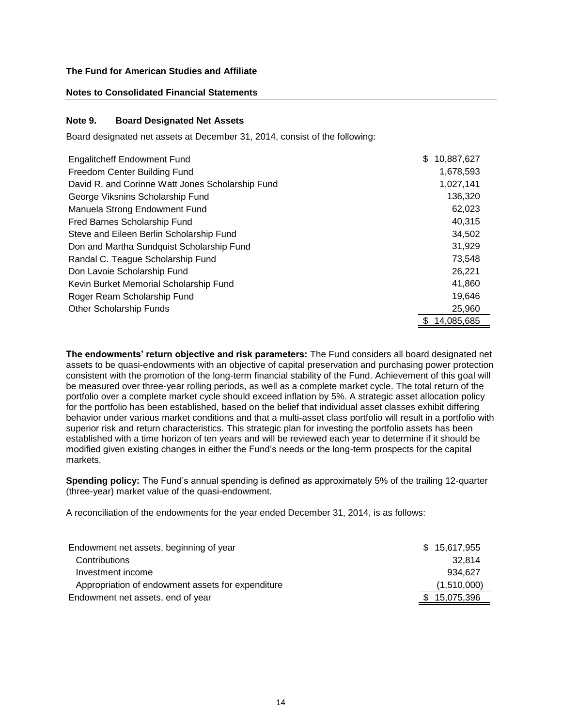#### **Notes to Consolidated Financial Statements**

#### **Note 9. Board Designated Net Assets**

Board designated net assets at December 31, 2014, consist of the following:

| <b>Engalitcheff Endowment Fund</b>               | \$.<br>10,887,627 |
|--------------------------------------------------|-------------------|
| Freedom Center Building Fund                     | 1,678,593         |
| David R. and Corinne Watt Jones Scholarship Fund | 1,027,141         |
| George Viksnins Scholarship Fund                 | 136,320           |
| Manuela Strong Endowment Fund                    | 62,023            |
| Fred Barnes Scholarship Fund                     | 40,315            |
| Steve and Eileen Berlin Scholarship Fund         | 34,502            |
| Don and Martha Sundquist Scholarship Fund        | 31,929            |
| Randal C. Teague Scholarship Fund                | 73,548            |
| Don Lavoie Scholarship Fund                      | 26,221            |
| Kevin Burket Memorial Scholarship Fund           | 41,860            |
| Roger Ream Scholarship Fund                      | 19,646            |
| <b>Other Scholarship Funds</b>                   | 25.960            |
|                                                  | 14,085,685        |

**The endowments' return objective and risk parameters:** The Fund considers all board designated net assets to be quasi-endowments with an objective of capital preservation and purchasing power protection consistent with the promotion of the long-term financial stability of the Fund. Achievement of this goal will be measured over three-year rolling periods, as well as a complete market cycle. The total return of the portfolio over a complete market cycle should exceed inflation by 5%. A strategic asset allocation policy for the portfolio has been established, based on the belief that individual asset classes exhibit differing behavior under various market conditions and that a multi-asset class portfolio will result in a portfolio with superior risk and return characteristics. This strategic plan for investing the portfolio assets has been established with a time horizon of ten years and will be reviewed each year to determine if it should be modified given existing changes in either the Fund's needs or the long-term prospects for the capital markets.

**Spending policy:** The Fund's annual spending is defined as approximately 5% of the trailing 12-quarter (three-year) market value of the quasi-endowment.

A reconciliation of the endowments for the year ended December 31, 2014, is as follows:

| Endowment net assets, beginning of year           | \$15,617,955 |
|---------------------------------------------------|--------------|
| Contributions                                     | 32.814       |
| Investment income                                 | 934.627      |
| Appropriation of endowment assets for expenditure | (1,510,000)  |
| Endowment net assets, end of year                 | \$15,075,396 |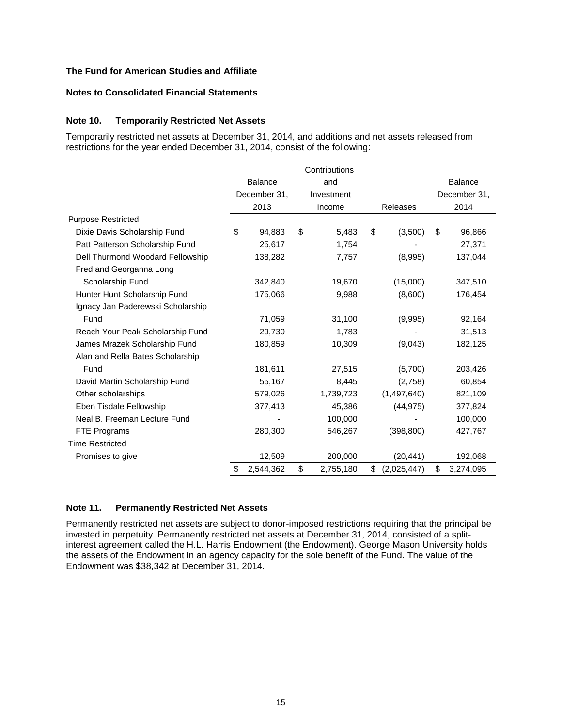#### **Notes to Consolidated Financial Statements**

#### **Note 10. Temporarily Restricted Net Assets**

Temporarily restricted net assets at December 31, 2014, and additions and net assets released from restrictions for the year ended December 31, 2014, consist of the following:

|                                   | <b>Balance</b><br>and |           |            |           |    |                 |              | <b>Balance</b> |
|-----------------------------------|-----------------------|-----------|------------|-----------|----|-----------------|--------------|----------------|
|                                   | December 31,          |           | Investment |           |    |                 | December 31, |                |
|                                   |                       | 2013      |            | Income    |    | <b>Releases</b> |              | 2014           |
| <b>Purpose Restricted</b>         |                       |           |            |           |    |                 |              |                |
| Dixie Davis Scholarship Fund      | \$                    | 94,883    | \$         | 5,483     | \$ | (3,500)         | \$           | 96,866         |
| Patt Patterson Scholarship Fund   |                       | 25,617    |            | 1,754     |    |                 |              | 27,371         |
| Dell Thurmond Woodard Fellowship  |                       | 138,282   |            | 7,757     |    | (8,995)         |              | 137,044        |
| Fred and Georganna Long           |                       |           |            |           |    |                 |              |                |
| Scholarship Fund                  |                       | 342,840   |            | 19,670    |    | (15,000)        |              | 347,510        |
| Hunter Hunt Scholarship Fund      |                       | 175,066   |            | 9,988     |    | (8,600)         |              | 176,454        |
| Ignacy Jan Paderewski Scholarship |                       |           |            |           |    |                 |              |                |
| Fund                              |                       | 71,059    |            | 31,100    |    | (9,995)         |              | 92,164         |
| Reach Your Peak Scholarship Fund  |                       | 29,730    |            | 1,783     |    |                 |              | 31,513         |
| James Mrazek Scholarship Fund     |                       | 180,859   |            | 10,309    |    | (9,043)         |              | 182,125        |
| Alan and Rella Bates Scholarship  |                       |           |            |           |    |                 |              |                |
| Fund                              |                       | 181,611   |            | 27,515    |    | (5,700)         |              | 203,426        |
| David Martin Scholarship Fund     |                       | 55,167    |            | 8,445     |    | (2,758)         |              | 60,854         |
| Other scholarships                |                       | 579,026   |            | 1,739,723 |    | (1,497,640)     |              | 821,109        |
| Eben Tisdale Fellowship           |                       | 377,413   |            | 45,386    |    | (44, 975)       |              | 377,824        |
| Neal B. Freeman Lecture Fund      |                       |           |            | 100,000   |    |                 |              | 100,000        |
| FTE Programs                      |                       | 280,300   |            | 546,267   |    | (398, 800)      |              | 427,767        |
| <b>Time Restricted</b>            |                       |           |            |           |    |                 |              |                |
| Promises to give                  |                       | 12,509    |            | 200,000   |    | (20, 441)       |              | 192,068        |
|                                   | \$                    | 2,544,362 | \$         | 2,755,180 | \$ | (2,025,447)     | \$           | 3,274,095      |

#### **Note 11. Permanently Restricted Net Assets**

Permanently restricted net assets are subject to donor-imposed restrictions requiring that the principal be invested in perpetuity. Permanently restricted net assets at December 31, 2014, consisted of a splitinterest agreement called the H.L. Harris Endowment (the Endowment). George Mason University holds the assets of the Endowment in an agency capacity for the sole benefit of the Fund. The value of the Endowment was \$38,342 at December 31, 2014.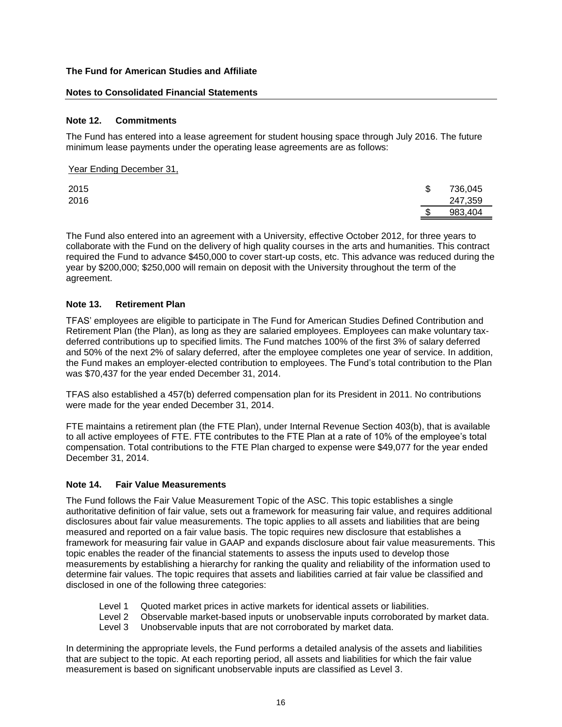#### **Notes to Consolidated Financial Statements**

#### **Note 12. Commitments**

Year Ending December 31,

The Fund has entered into a lease agreement for student housing space through July 2016. The future minimum lease payments under the operating lease agreements are as follows:

| ___  |               |
|------|---------------|
| 2015 | \$<br>736,045 |
| 2016 | 247,359       |
|      | \$<br>983,404 |

The Fund also entered into an agreement with a University, effective October 2012, for three years to collaborate with the Fund on the delivery of high quality courses in the arts and humanities. This contract required the Fund to advance \$450,000 to cover start-up costs, etc. This advance was reduced during the year by \$200,000; \$250,000 will remain on deposit with the University throughout the term of the agreement.

#### **Note 13. Retirement Plan**

TFAS' employees are eligible to participate in The Fund for American Studies Defined Contribution and Retirement Plan (the Plan), as long as they are salaried employees. Employees can make voluntary taxdeferred contributions up to specified limits. The Fund matches 100% of the first 3% of salary deferred and 50% of the next 2% of salary deferred, after the employee completes one year of service. In addition, the Fund makes an employer-elected contribution to employees. The Fund's total contribution to the Plan was \$70,437 for the year ended December 31, 2014.

TFAS also established a 457(b) deferred compensation plan for its President in 2011. No contributions were made for the year ended December 31, 2014.

FTE maintains a retirement plan (the FTE Plan), under Internal Revenue Section 403(b), that is available to all active employees of FTE. FTE contributes to the FTE Plan at a rate of 10% of the employee's total compensation. Total contributions to the FTE Plan charged to expense were \$49,077 for the year ended December 31, 2014.

#### **Note 14. Fair Value Measurements**

The Fund follows the Fair Value Measurement Topic of the ASC. This topic establishes a single authoritative definition of fair value, sets out a framework for measuring fair value, and requires additional disclosures about fair value measurements. The topic applies to all assets and liabilities that are being measured and reported on a fair value basis. The topic requires new disclosure that establishes a framework for measuring fair value in GAAP and expands disclosure about fair value measurements. This topic enables the reader of the financial statements to assess the inputs used to develop those measurements by establishing a hierarchy for ranking the quality and reliability of the information used to determine fair values. The topic requires that assets and liabilities carried at fair value be classified and disclosed in one of the following three categories:

- Level 1 Quoted market prices in active markets for identical assets or liabilities.
- Level 2 Observable market-based inputs or unobservable inputs corroborated by market data.
- Level 3 Unobservable inputs that are not corroborated by market data.

In determining the appropriate levels, the Fund performs a detailed analysis of the assets and liabilities that are subject to the topic. At each reporting period, all assets and liabilities for which the fair value measurement is based on significant unobservable inputs are classified as Level 3.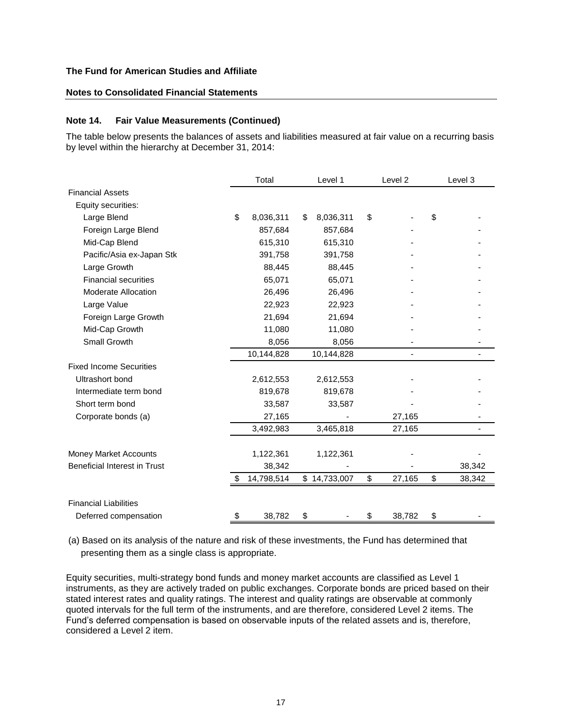## **Notes to Consolidated Financial Statements**

#### **Note 14. Fair Value Measurements (Continued)**

The table below presents the balances of assets and liabilities measured at fair value on a recurring basis by level within the hierarchy at December 31, 2014:

|                                     | Total            |    | Level 1      |    | Level 2 |    | Level 3 |  |
|-------------------------------------|------------------|----|--------------|----|---------|----|---------|--|
| <b>Financial Assets</b>             |                  |    |              |    |         |    |         |  |
| Equity securities:                  |                  |    |              |    |         |    |         |  |
| Large Blend                         | \$<br>8,036,311  | \$ | 8,036,311    | \$ |         | \$ |         |  |
| Foreign Large Blend                 | 857,684          |    | 857,684      |    |         |    |         |  |
| Mid-Cap Blend                       | 615,310          |    | 615,310      |    |         |    |         |  |
| Pacific/Asia ex-Japan Stk           | 391,758          |    | 391,758      |    |         |    |         |  |
| Large Growth                        | 88,445           |    | 88,445       |    |         |    |         |  |
| <b>Financial securities</b>         | 65,071           |    | 65,071       |    |         |    |         |  |
| Moderate Allocation                 | 26,496           |    | 26,496       |    |         |    |         |  |
| Large Value                         | 22,923           |    | 22,923       |    |         |    |         |  |
| Foreign Large Growth                | 21,694           |    | 21,694       |    |         |    |         |  |
| Mid-Cap Growth                      | 11,080           |    | 11,080       |    |         |    |         |  |
| Small Growth                        | 8,056            |    | 8,056        |    |         |    |         |  |
|                                     | 10,144,828       |    | 10,144,828   |    |         |    |         |  |
| <b>Fixed Income Securities</b>      |                  |    |              |    |         |    |         |  |
| Ultrashort bond                     | 2,612,553        |    | 2,612,553    |    |         |    |         |  |
| Intermediate term bond              | 819,678          |    | 819,678      |    |         |    |         |  |
| Short term bond                     | 33,587           |    | 33,587       |    |         |    |         |  |
| Corporate bonds (a)                 | 27,165           |    |              |    | 27,165  |    |         |  |
|                                     | 3,492,983        |    | 3,465,818    |    | 27,165  |    |         |  |
|                                     |                  |    |              |    |         |    |         |  |
| Money Market Accounts               | 1,122,361        |    | 1,122,361    |    |         |    |         |  |
| <b>Beneficial Interest in Trust</b> | 38,342           |    |              |    |         |    | 38,342  |  |
|                                     | \$<br>14,798,514 |    | \$14,733,007 | \$ | 27,165  | \$ | 38,342  |  |
| <b>Financial Liabilities</b>        |                  |    |              |    |         |    |         |  |
| Deferred compensation               | \$<br>38,782     | \$ |              | \$ | 38,782  | \$ |         |  |
|                                     |                  |    |              |    |         |    |         |  |

(a) Based on its analysis of the nature and risk of these investments, the Fund has determined that presenting them as a single class is appropriate.

Equity securities, multi-strategy bond funds and money market accounts are classified as Level 1 instruments, as they are actively traded on public exchanges. Corporate bonds are priced based on their stated interest rates and quality ratings. The interest and quality ratings are observable at commonly quoted intervals for the full term of the instruments, and are therefore, considered Level 2 items. The Fund's deferred compensation is based on observable inputs of the related assets and is, therefore, considered a Level 2 item.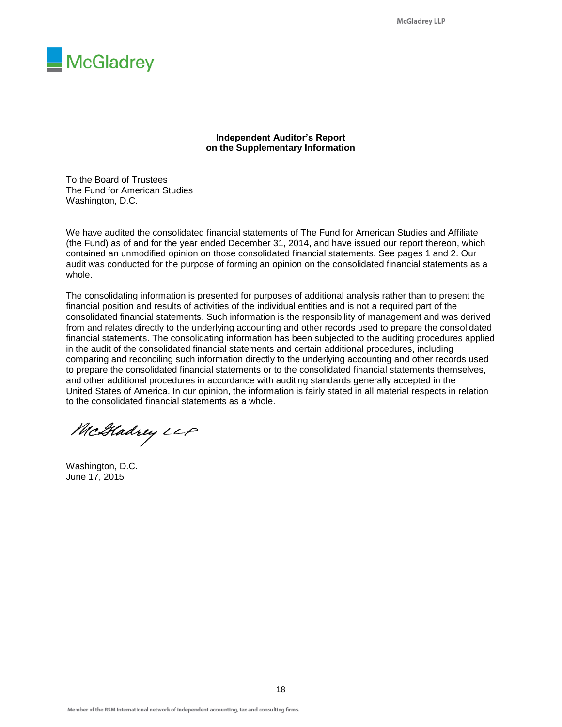

**Independent Auditor's Report on the Supplementary Information**

To the Board of Trustees The Fund for American Studies Washington, D.C.

We have audited the consolidated financial statements of The Fund for American Studies and Affiliate (the Fund) as of and for the year ended December 31, 2014, and have issued our report thereon, which contained an unmodified opinion on those consolidated financial statements. See pages 1 and 2. Our audit was conducted for the purpose of forming an opinion on the consolidated financial statements as a whole.

The consolidating information is presented for purposes of additional analysis rather than to present the financial position and results of activities of the individual entities and is not a required part of the consolidated financial statements. Such information is the responsibility of management and was derived from and relates directly to the underlying accounting and other records used to prepare the consolidated financial statements. The consolidating information has been subjected to the auditing procedures applied in the audit of the consolidated financial statements and certain additional procedures, including comparing and reconciling such information directly to the underlying accounting and other records used to prepare the consolidated financial statements or to the consolidated financial statements themselves, and other additional procedures in accordance with auditing standards generally accepted in the United States of America. In our opinion, the information is fairly stated in all material respects in relation to the consolidated financial statements as a whole.

McGladrey LLP

Washington, D.C. June 17, 2015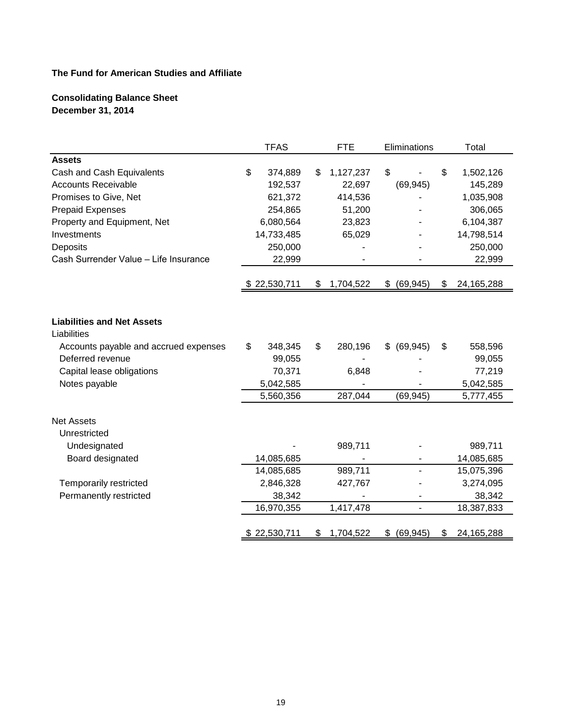# **Consolidating Balance Sheet December 31, 2014**

|                                                  | <b>TFAS</b>   | <b>FTE</b>      | Eliminations    | Total              |
|--------------------------------------------------|---------------|-----------------|-----------------|--------------------|
| <b>Assets</b>                                    |               |                 |                 |                    |
| Cash and Cash Equivalents                        | \$<br>374,889 | \$<br>1,127,237 | \$              | \$<br>1,502,126    |
| <b>Accounts Receivable</b>                       | 192,537       | 22,697          | (69, 945)       | 145,289            |
| Promises to Give, Net                            | 621,372       | 414,536         |                 | 1,035,908          |
| <b>Prepaid Expenses</b>                          | 254,865       | 51,200          |                 | 306,065            |
| Property and Equipment, Net                      | 6,080,564     | 23,823          |                 | 6,104,387          |
| Investments                                      | 14,733,485    | 65,029          |                 | 14,798,514         |
| Deposits                                         | 250,000       |                 |                 | 250,000            |
| Cash Surrender Value - Life Insurance            | 22,999        |                 |                 | 22,999             |
|                                                  | \$22,530,711  | \$<br>1,704,522 | \$ (69, 945)    | \$<br>24, 165, 288 |
|                                                  |               |                 |                 |                    |
|                                                  |               |                 |                 |                    |
| <b>Liabilities and Net Assets</b><br>Liabilities |               |                 |                 |                    |
| Accounts payable and accrued expenses            | \$<br>348,345 | \$<br>280,196   | \$ (69, 945)    | \$<br>558,596      |
| Deferred revenue                                 | 99,055        |                 |                 | 99,055             |
| Capital lease obligations                        | 70,371        | 6,848           |                 | 77,219             |
| Notes payable                                    | 5,042,585     |                 |                 | 5,042,585          |
|                                                  | 5,560,356     | 287,044         | (69, 945)       | 5,777,455          |
| <b>Net Assets</b>                                |               |                 |                 |                    |
| Unrestricted                                     |               |                 |                 |                    |
| Undesignated                                     |               | 989,711         |                 | 989,711            |
| Board designated                                 | 14,085,685    |                 |                 | 14,085,685         |
|                                                  | 14,085,685    | 989,711         |                 | 15,075,396         |
| Temporarily restricted                           | 2,846,328     | 427,767         |                 | 3,274,095          |
| Permanently restricted                           | 38,342        |                 |                 | 38,342             |
|                                                  | 16,970,355    | 1,417,478       |                 | 18,387,833         |
|                                                  | \$22,530,711  | \$<br>1,704,522 | \$<br>(69, 945) | \$<br>24, 165, 288 |